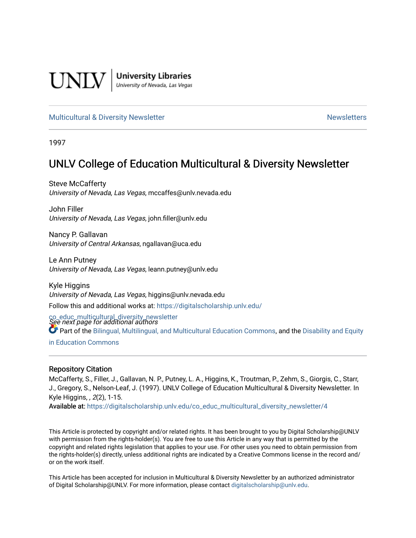

**University Libraries**<br>University of Nevada, Las Vegas

#### [Multicultural & Diversity Newsletter](https://digitalscholarship.unlv.edu/co_educ_multicultural_diversity_newsletter) Newsletter [Newsletters](https://digitalscholarship.unlv.edu/co_educ_newsletters) Newsletters

1997

# UNLV College of Education Multicultural & Diversity Newsletter

Steve McCafferty University of Nevada, Las Vegas, mccaffes@unlv.nevada.edu

John Filler University of Nevada, Las Vegas, john.filler@unlv.edu

Nancy P. Gallavan University of Central Arkansas, ngallavan@uca.edu

Le Ann Putney University of Nevada, Las Vegas, leann.putney@unlv.edu

Kyle Higgins University of Nevada, Las Vegas, higgins@unlv.nevada.edu Follow this and additional works at: [https://digitalscholarship.unlv.edu/](https://digitalscholarship.unlv.edu/co_educ_multicultural_diversity_newsletter?utm_source=digitalscholarship.unlv.edu%2Fco_educ_multicultural_diversity_newsletter%2F4&utm_medium=PDF&utm_campaign=PDFCoverPages)

co\_educ\_multicultural\_diversity\_newsletter<br>See next page for additional authors Part of the [Bilingual, Multilingual, and Multicultural Education Commons,](http://network.bepress.com/hgg/discipline/785?utm_source=digitalscholarship.unlv.edu%2Fco_educ_multicultural_diversity_newsletter%2F4&utm_medium=PDF&utm_campaign=PDFCoverPages) and the [Disability and Equity](http://network.bepress.com/hgg/discipline/1040?utm_source=digitalscholarship.unlv.edu%2Fco_educ_multicultural_diversity_newsletter%2F4&utm_medium=PDF&utm_campaign=PDFCoverPages)  [in Education Commons](http://network.bepress.com/hgg/discipline/1040?utm_source=digitalscholarship.unlv.edu%2Fco_educ_multicultural_diversity_newsletter%2F4&utm_medium=PDF&utm_campaign=PDFCoverPages)

#### Repository Citation

McCafferty, S., Filler, J., Gallavan, N. P., Putney, L. A., Higgins, K., Troutman, P., Zehm, S., Giorgis, C., Starr, J., Gregory, S., Nelson-Leaf, J. (1997). UNLV College of Education Multicultural & Diversity Newsletter. In Kyle Higgins, , 2(2), 1-15.

Available at: [https://digitalscholarship.unlv.edu/co\\_educ\\_multicultural\\_diversity\\_newsletter/4](https://digitalscholarship.unlv.edu/co_educ_multicultural_diversity_newsletter/4)

This Article is protected by copyright and/or related rights. It has been brought to you by Digital Scholarship@UNLV with permission from the rights-holder(s). You are free to use this Article in any way that is permitted by the copyright and related rights legislation that applies to your use. For other uses you need to obtain permission from the rights-holder(s) directly, unless additional rights are indicated by a Creative Commons license in the record and/ or on the work itself.

This Article has been accepted for inclusion in Multicultural & Diversity Newsletter by an authorized administrator of Digital Scholarship@UNLV. For more information, please contact [digitalscholarship@unlv.edu.](mailto:digitalscholarship@unlv.edu)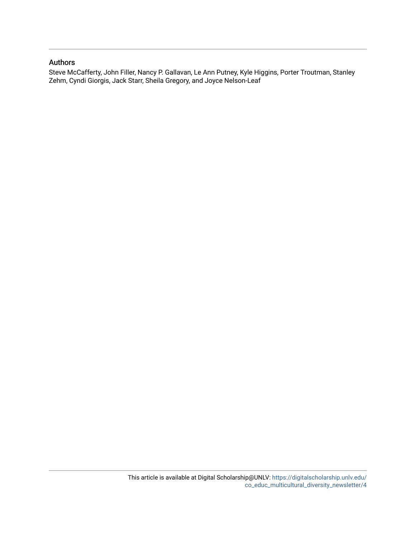#### Authors

Steve McCafferty, John Filler, Nancy P. Gallavan, Le Ann Putney, Kyle Higgins, Porter Troutman, Stanley Zehm, Cyndi Giorgis, Jack Starr, Sheila Gregory, and Joyce Nelson-Leaf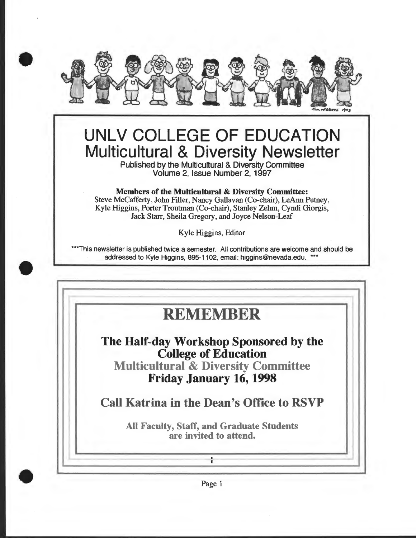

# UNLV COLLEGE OF EDUCATION Multicultural & Diversity Newsletter

Published by the Multicultural & Diversity Committee Volume 2, Issue Number 2, 1997

Members of the Multicultural & Diversity Committee:

Steve McCafferty, John Filler, Nancy Gallavan (Co-chair), LeAnn Putney, Kyle Higgins, Porter Troutman (Co-chair), Stanley Zehm, Cyndi Giorgis, Jack Starr, Sheila Gregory, and Joyce Nelson-Leaf

Kyle Higgins, Editor

\*\*\*This newsletter is published twice a semester. All contributions are welcome and should be addressed to Kyle Higgins, 895-1102, email: higgins@nevada.edu. \*\*\*

•

•

# **REMEMBER**

... ~. - -

The Half-day Workshop Sponsored by the College of Education Multicultural & Diversity Committee Friday January 16, 1998

Call Katrina in the Dean's Office to RSVP

All Faculty, Staff, and Graduate Students are invited to attend.

 $\blacksquare$ 



- <sup>I</sup>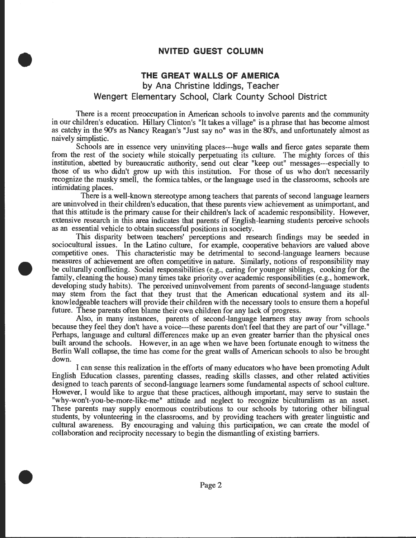# **NVITED GUEST COLUMN**

•

•

•

# **THE GREAT WALLS OF AMERICA**

**by Ana Christine Iddings, Teacher Wengert Elementary School, Clark County School District** 

There is a recent preoccupation in American schools to involve parents and the community in our children's education. Hillary Clinton's "It takes a village" is a phrase that has become almost as catchy in the 90's as Nancy Reagan's "Just say no" was in the 80's, and unfortunately almost as naively simplistic.

Schools are in essence very uninviting places---huge walls and fierce gates separate them from the rest of the society while stoically perpetuating its culture. The mighty forces of this institution, abetted by bureaucratic authority, send out clear "keep out" messages---especially to those of us who didn't grow up with this institution. For those of us who don't necessarily recognize the musky smell, the formica tables, or the language used in the classrooms, schools are intimidating places.

There is a well-known stereotype among teachers that parents of second language learners are uninvolved in their children's education, that these parents view achievement as unimportant, and that this attitude is the primary cause for their children's lack of academic responsibility. However, extensive research in this area indicates that parents of English-learning students perceive schools as an essential vehicle to obtain successful positions in society.

This disparity between teachers' perceptions and research findings may be seeded in sociocultural issues. In the Latino culture, for example, cooperative behaviors are valued above competitive ones. This characteristic may be detrimental to second-language learners because measures of achievement are often competitive in nature. Similarly, notions of responsibility may be culturally conflicting. Social responsibilities (e.g., caring for younger siblings, cooking for the family, cleaning the house) many times take priority over academic responsibilities (e.g., homework, developing study habits). The perceived uninvolvement from parents of second-language students may stem from the fact that they trust that the American educational system and its allknowledgeable teachers will provide their children with the necessary tools to ensure them a hopeful future. These parents often blame their own children for any lack of progress.

Also, in many instances, parents of second-language learners stay away from schools because they feel they don't have a voice---these parents don't feel that they are part of our "village." Perhaps, language and cultural differences make up an even greater barrier than the physical ones built around the schools. However, in an age when we have been fortunate enough to witness the Berlin Wall collapse, the time has come for the great walls of American schools to also be brought down.

I can sense this realization in the efforts of many educators who have been promoting Adult English Education classes, parenting classes, reading skills classes, and other related activities designed to teach parents of second-language learners some fundamental aspects of school culture. However, I would like to argue that these practices, although important, may serve to sustain the "why-won't-you-be-more-like-me" attitude and neglect to recognize biculturalism as an asset. These parents may supply enormous contributions to our schools by tutoring other bilingual students, by volunteering in the classrooms, and by providing teachers with greater linguistic and cultural awareness. By encouraging and valuing this participation, we can create the model of collaboration and reciprocity necessary to begin the dismantling of existing barriers .

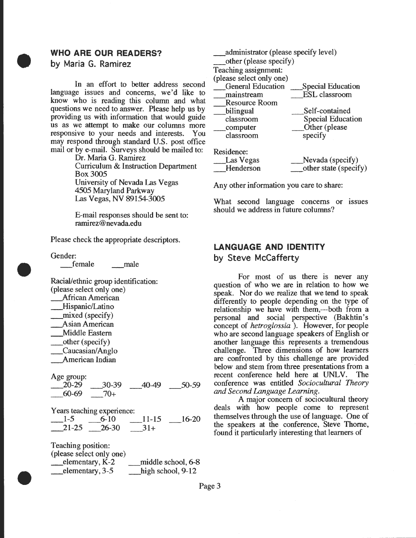# **WHO ARE OUR READERS?**

**by Maria G. Ramirez** 

•

In an effort to better address second language issues and concerns, we'd like to know who is reading this column and what questions we need to answer. Please help us by providing us with information that would guide us as we attempt to make our columns more responsive to your needs and interests. You may respond through standard U.S. post office mail or by e-mail. Surveys should be mailed to:

Dr. Maria G. Ramirez Curriculum & Instruction Department Box3005 University of Nevada Las Vegas 4505 Maryland Parkway Las Vegas, NV 89154-3005

E-mail responses should be sent to: ramirez@nevada.edu

Please check the appropriate descriptors.

Gender:

•

•

\_female \_male

Racial/ethnic group identification: (please select only one) \_Mrican American \_Hispanic/Latino \_mixed (specify) \_Asian American \_Middle Eastern \_other (specify) \_Caucasian/ Anglo \_American Indian

Age group:  $\frac{20-29}{60-69}$   $\frac{30-39}{70+}$   $\frac{40-49}{50-59}$  $70+$ 

Years teaching experience:  $-1-5$   $-6-10$   $-11-15$   $-16-20$  $21-25$   $26-30$   $31+$ 

Teaching position: (please select only one) elementary, K-2 middle school, 6-8<br>
elementary, 3-5 high school, 9-12  $\equiv$  elementary, 3-5

\_administrator (please specify level) \_other (please specify) Teaching assignment: (please select only one) \_General Education \_Special Education ESL classroom Resource Room bilingual classroom \_computer classroom Residence: \_Las Vegas \_Henderson Self-contained Special Education \_Other (please specify \_Nevada (specify) \_other state (specify)

Any other information you care to share:

What second language concerns or issues should we address in future columns?

# **LANGUAGE AND IDENTITY**

**by Steve McCafferty** 

For most of us there is never any question of who we are in relation to how we speak. Nor do we realize that we tend to speak differently to people depending on the type of relationship we have with them,---both from a personal and social perspective (Bakhtin's concept of *hetroglossia* ). However, for people who are second language speakers of English or another language this represents a tremendous challenge. Three dimensions of how learners are confronted by this challenge are provided below and stem from three presentations from a recent conference held here at UNLV. The conference was entitled *Sociocultural Theory and Second Language Learning.* 

A major concern of sociocultural theory deals with how people come to represent themselves through the use of language. One of the speakers at the conference, Steve Thome, found it particularly interesting that learners of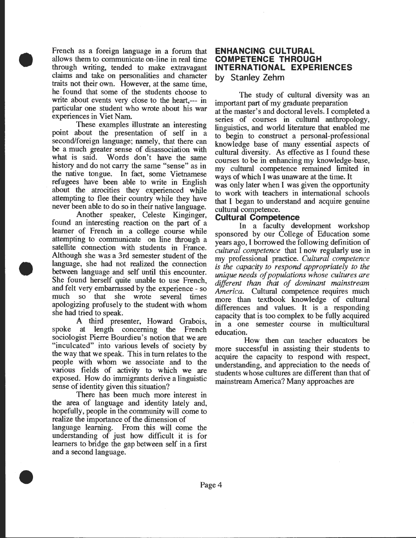French as a foreign language in a forum that allows them to communicate on-line in real time through writing, tended to make extravagant claims and take on personalities and character traits not their own. However, at the same time, he found that some of the students choose to write about events very close to the heart,--- in particular one student who wrote about his war experiences in Viet Nam.

•

•

•

These examples illustrate an interesting point about the presentation of self in a second/foreign language; namely, that there can be a much greater sense of disassociation with what is said. Words don't have the same history and do not carry the same "sense" as in the native tongue. In fact, some Vietnamese refugees have been able to write in English about the atrocities they experienced while attempting to flee their country while they have never been able to do so in their native language.

Another speaker, Celeste Kinginger, found an interesting reaction on the part of a learner of French in a college course while attempting to communicate on line through a satellite connection with students in France. Although she was a 3rd semester student of the language, she had not realized the connection between language and self until this encounter. She found herself quite unable to use French, and felt very embarrassed by the experience - so much so that she wrote several times apologizing profusely to the student with whom she had tried to speak.

A third presenter, Howard Grabois, spoke at length concerning the French sociologist Pierre Bourdieu's notion that we are "inculcated" into various levels of society by the way that we speak. This in tum relates to the people with whom we associate and to the various fields of activity to which we are exposed. How do immigrants derive a linguistic sense of identity given this situation?

There has been much more interest in the area of language and identity lately and, hopefully, people in the community will come to realize the importance of the dimension of language learning. From this will come the understanding of just how difficult it is for learners to bridge the gap between self in a first and a second language .

#### **ENHANCING CULTURAL COMPETENCE THROUGH INTERNATIONAL EXPERIENCES by Stanley Zehm**

The study of cultural diversity was an important part of my graduate preparation at the master's and doctoral levels. I completed a series of courses in cultural anthropology, linguistics, and world literature that enabled me to begin to construct a personal-professional knowledge base of many essential aspects of cultural diversity. As effective as I found these courses to be in enhancing my knowledge-base, my cultural competence remained. limited in ways of which I was unaware at the time. It was only later when I was given the opportunity to work with teachers in international schools that I began to understand and acquire genuine cultural competence.

#### **Cultural Competence**

In a faculty development workshop sponsored by our College of Education some years ago, I borrowed the following definition of *cultural competence* that I now regularly use in my professional practice. *Cultural .competence is the capacity to respond appropriately to the unique needs of populations whose cultures are*  different than that of dominant mainstream *America.* Cultural competence requires much more than textbook knowledge of cultural differences and values. It is a responding capacity that is too complex to be fully acquired in a one semester course in multicultural education.

How then can teacher educators be more successful in assisting their students to acquire the capacity to respond with respect, understanding, and appreciation to the needs of students whose cultures are different than that of mainstream America? Many approaches are

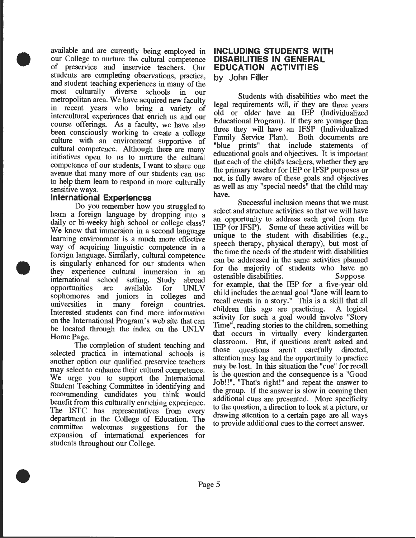available and are currently being employed in our College to nurture the cultural competence of preservice and inservice teachers. Our students are completing observations, practica, and student teaching experiences in many of the most culturally diverse schools in our metropolitan area. We have acquired new faculty in recent years who bring a variety of intercultural experiences that enrich us and our course offerings. As a faculty, we have also been consciously working to create a college culture with an environment supportive of cultural competence. Although there are many initiatives open to us to nurture the cultural competence of our students, I want to share one avenue that many more of our students can use to help them learn to respond in more culturally sensitive ways.

#### **International Experiences**

•

•

•

Do you remember how you struggled to learn a foreign language by dropping into a daily or bi-weeky high school or college class? We know that immersion in a second language learning environment is a much more effective way of acquiring linguistic competence in a foreign language. Similarly, cultural competence is singularly enhanced for our students when they experience cultural immersion in an international school setting. Study abroad<br>opportunities are available for UNLV opportunities are available for UNL V sophomores and juniors in colleges and universities in many foreign countries. in many foreign countries. Interested students can find more information on the International Program's web site that can be located through the index on the UNLV Home Page.

The completion of student teaching and selected practica in international schools is another option our qualified preservice teachers may select to enhance their cultural competence. We urge you to support the International Student Teaching Committee in identifying and recommending candidates you think would benefit from this culturally enriching experience. The ISTC has representatives from every department in the College of Education. The committee welcomes suggestions for the expansion of international experiences for students throughout our College .

#### **INCLUDING STUDENTS WITH DISABILITIES IN GENERAL EDUCATION ACTIVITIES by John Filler**

Students with disabilities who meet the legal requirements will, if they are three years old or older have an IEP (Individualized Educational Program). If they are younger than three they will have an IFSP (Individualized Family Service Plan). Both documents are Family Service Plan). "blue prints" that include statements of educational goals and objectives. It is important that each of the child's teachers, whether they are the primary teacher for IEP or IFSP purposes or not, is fully aware of these goals and objectives as well as any "special needs" that the child may have.

Successful inclusion means that we must select and structure activities so that we will have an opportunity to address each goal from the  $IEP$  (or IFSP). Some of these activities will be unique to the student with disabilities (e.g., speech therapy, physical therapy), but most of the time the needs of the student With disabilities can be addressed in the same activities planned for the majority of students who have no<br>ostensible disabilities. Suppose ostensible disabilities. for example, that the IEP for a five-year old child includes the annual goal"Jane will learn to recall events in a story." This is a skill that all children this age are practicing. A logical activity for such a goal would involve "Story" Time", reading stories to the children, something that occurs in virtually every kindergarten classroom. But, if questions aren't asked and<br>those questions aren't carefully directed, those questions attention may lag and the opportumty to practice may be lost. In this situation the "cue" for recall is the question and the consequence is a "Good" Job!!", "That's right!" and repeat the answer to the group. If the answer is slow in coming then additional cues are presented. More specificity to the question, a direction to look at a picture, or drawing attention to a certain page are all ways to provide additional cues to the correct answer.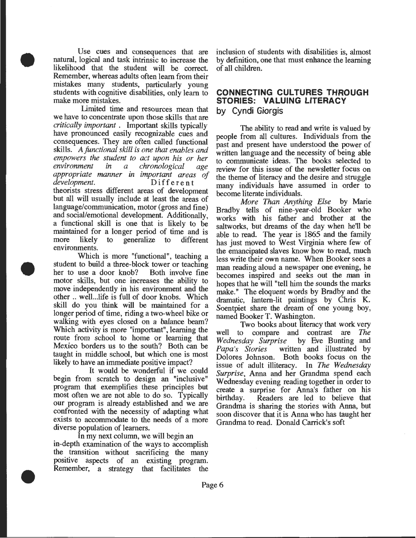Use cues and consequences that are natural, logical and task intrinsic to increase the likelihood that the student will be correct Remember, whereas adults often learn from their mistakes many students, particularly young students with cognitive disabilities, only learn to make more mistakes.

•

•

•

limited time and resources mean that we have to concentrate upon those skills that are *critically important* . Important skills typically have pronounced easily recognizable cues and consequences. They are often called functional skills. *Afunctional skill is one that enables and empowers the student to act upon his or her environment in a chronological age appropriate manner in important areas of development.* Different theorists stress different areas of development but all will usually include at least the areas of language/communication, motor (gross and fine) and social/emotional development. Additionally, a functional skill is one that is likely to be maintained for a longer period of time and is more likely to generalize to different environments.

Which is more "functional", teaching a student to build a three-block tower or teaching<br>her to use a door knob? Both involve fine her to use a door knob? motor skills, but one increases the ability to move independently in his environment and the other .. well... life is full of door knobs. Which skill do you think will be maintained for a longer period of time, riding a two-wheel bike or walking with eyes closed on a balance beam? Which activity is more "important", learning the route from school to home or learning that Mexico borders us to the south? Both can be taught in middle school, but which one is most likely to have an immediate positive impact?

It would be wonderful if we could begin from scratch to design an "inclusive" program that exemplifies these principles but most often we are not able to do so. Typically our program is already established and we are confronted with the necessity of adapting what exists to accommodate to the needs of a more diverse population of learners.

In my next column, we will begin an in-depth examination of the ways to accomplish the transition without sacrificing the many positive aspects of an existing program. Remember, a strategy that facilitates the

inclusion of students with disabilities is, almost by definition, one that must enhance the learning of all children.

## **CONNECTING CULTURES THROUGH STORIES: VALUING LITERACY by Cyndi Giorgis**

The ability to read and write is valued by people from all cultures. Individuals from the past and present have understood the power of written language and the necessity of being able to communicate ideas. The books selected to review for this issue of the newsletter focus on the theme of literacy and the desire and struggle many individuals have assumed in order to become literate individuals.

*More Than Anything Else* by Marie Bradby tells of nine-year-old Booker who works with his father and brother at the saltworks, but dreams of the day when he'll be able to read. The year is 1865 and the family has just moved to West Virginia where few of the emancipated slaves know how to read, much less write their own name. When Booker sees a man reading aloud a newspaper one evening, he becomes inspired and seeks out the man in hopes that he will "tell him the sounds the marks make." The eloquent words by Bradby and the dramatic, lantern-lit paintings by Chris K. Soentpiet share the dream of one young boy, named Booker T. Washington.

Two books about literacy that work very well to compare and contrast are *The Wednesday Surprise* by Eve Bunting and written and illustrated by Dolores Johnson. Both books focus on the issue of adult illiteracy. In The *Wednesday Surprise,* Anna and her Grandma spend each Wednesday evening reading together in order to create a surprise for Anna's father on his birthday. Readers are led to believe that Grandma is sharing the stories with Anna, but soon discover that it is Anna who has taught her Grandma to read. Donald Carrick's soft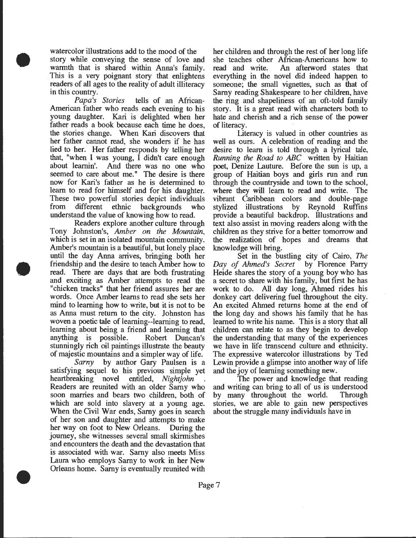watercolor illustrations add to the mood of the story while conveying the sense of love and warmth that is shared within Anna's family. This is a very poignant story that enlightens readers of all ages to the reality of adult illiteracy in this country.

•

•

•

*Papa's Stories* tells of an African-American father who reads each evening to his young daughter. Kari is delighted when her father reads a book because each time he does, the stories change. When Kari discovers that her father cannot read, she wonders if he has lied to her. Her father responds by telling her that, "when I was young, I didn't care enough about learnin'. And there was no one who seemed to care about me." The desire is there now for Kari's father as he is determined to learn to read for himself and for his daughter. These two powerful stories depict individuals from different ethnic backgrounds who understand the value of knowing how to read.

Readers explore another culture through Tony Johnston's, *Amber on the Mountain,*  which is set in an isolated mountain community. Amber's mountain is a beautiful, but lonely place until the day Anna arrives, bringing both her friendship and the desire to teach Amber how to read. There are days that are both frustrating and exciting as Amber attempts to read the "chicken tracks" that her friend assures her are words. Once Amber learns to read she sets her mind to learning how to write, but it is not to be as Anna must return to the city. Johnston has woven a poetic tale of learning--learning to read, learning about being a friend and learning that anything is possible. Robert Duncan's stunningly rich oil paintings illustrate the beauty of majestic mountains and a simpler way of life.

*Sarny* by author Gary Paulsen is a satisfying sequel to his previous simple yet heartbreaking novel entitled, *Nightjohn* . Readers are reunited with an older Sarny who soon marries and bears two children, both of which are sold into slavery at a young age. When the Civil War ends, Sarny goes in search of her son and daughter and attempts to make her way on foot to New Orleans. During the journey, she witnesses several small skirmishes and encounters the death and the devastation that is associated with war. Sarny also meets Miss Laura who employs Samy to work in her New Orleans home. Sarny is eventually reunited with

her children and through the rest of her long life she teaches other Mrican-Americans how to read and write. An afterword states that everything in the novel did indeed happen to someone; the small vignettes, such as that of Sarny reading Shakespeare to her children, have the ring and shapeliness of an oft-told family story. It is a great read with characters both to hate and cherish and a rich sense of the power of literacy.

Literacy is valued in other countries as well as ours. A celebration of reading and the desire to learn is told through a lyrical tale, *Running the Road to ABC* written by Haitian poet, Denize Lauture. Before the sun is up, a group of Haitian boys and girls run and run through the countryside and town to the school, where they will learn to read and write. The vibrant Caribbean colors and double-page stylized illustrations by Reynold Ruffins provide a beautiful backdrop. Illustrations and text also assist in moving readers along with the children as they strive for a better tomorrow and the realization of hopes and dreams that knowledge will bring.

Set in the bustling city of Cairo, *The Day of Ahmed's Secret* by Florence Parry Heide shares the story of a young boy who has a secret to share with his family, but first he has work to do. All day long, Ahmed rides his donkey cart delivering fuel throughout the city. An excited Ahmed returns home at the end of the long day and shows his family that he has learned to write his name. This is a story that all children can relate to as they begin to develop the understanding that many of the experiences we have in life transcend culture and ethnicity. The expressive watercolor illustrations by Ted Lewin provide a glimpse into another way of life and the joy of learning something new.

The power and knowledge that reading and writing can bring to all of us is understood by many throughout the world. Through stories, we are able to gain new perspectives about the struggle many individuals have in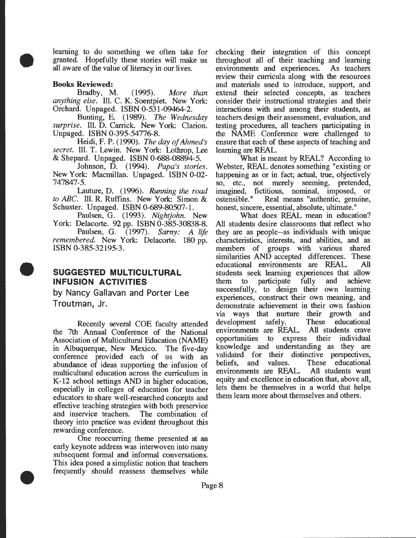learning to do something we often take for granted. Hopefully these stories will make us all aware of the value of literacy in our lives.

#### **Books Reviewed:**

•

•

•

Bradby, M. (1995). *More than anything else.* Ill. C. K. Soentpiet. New York: Orchard. Unpaged. ISBN 0-531-09464-2.

Bunting, E. (1989). *The Wednesday surprise.* Ill. D. Carrick. New York: Clarion. Unpaged. ISBN 0-395-54776-8.

Heidi, F. P. (1990). *The day of Ahmed's secret.* Ill. T. Lewin. New York: Lothrop, Lee & Shepard. Unpaged. ISBN 0-688-08894-5.

Johnson, D. (1994). *Papa's stories.*  New York: Macmillan. Unpaged. ISBN 0-02- 747847-5.

Lauture, D. (1996). *Running the road to ABC.* Ill. R. Ruffins. New York: Simon & Schuster. Unpaged. ISBN 0-689-80507-1.

Paulsen, G. (1993). *Nightjohn.* New York: Delacorte. 92 pp. ISBN 0-385-30838-8.

Paulsen, G. (1997). *Sarny: A life remembered.* New York: Delacorte. 180 pp. ISBN 0-385-32195-3.

## **SUGGESTED MULTICULTURAL INFUSION ACTIVITIES**

**by Nancy Gallavan and Porter Lee Troutman, Jr.** 

Recently several COE faculty attended the 7th Annual Conference of the National Association of Multicultural Education (NAME) in Albuquerque, New Mexico. The five-day conference provided each of us with an abundance of ideas supporting the infusion of multicultural education across the curriculum in K-12 school settings AND in higher education, especially in colleges of education for teacher educators to share well-researched concepts and effective teaching strategies with both preservice and inservice teachers. The combination of theory into practice was evident throughout this rewarding conference.

One reoccurring theme presented at an early keynote address was interwoven into many subsequent formal and informal conversations. This idea posed a simplistic notion that teachers frequently should reassess themselves while

checking their integration of this concept throughout all of their teaching and learning environments and experiences. As teachers review their curricula along with the resources and materials used to introduce, support, and extend their selected concepts, as teachers consider their instructional strategies and their interactions with and among their students, as teachers design their assessment, evaluation, and testing procedures, all teachers participating in the NAME Conference were challenged to ensure that each of these aspects of teaching and learning are REAL.

What is meant by REAL? According to Webster, REAL denotes something "existing or happening as or in fact; actual, true, objectively so, etc., not merely seeming, pretended, imagined, fictitious, nominal, imposed, or ostensible." Real means "authentic, genuine, honest, sincere, essential, absolute, ultimate."

What does REAL mean in education? All students desire classrooms that reflect who they are as people--as individuals with unique characteristics, interests, and abilities, and as members of groups with various shared similarities AND accepted differences. These educational environments are REAL. All students seek learning experiences that allow them to participate fully and achieve successfully, to design their own learning experiences, construct their own meaning, and demonstrate achievement in their own fashion via ways that nurture their growth and development safely. These educational environments are REAL. All students crave opportunities to express their individual knowledge and understanding as they are validated for their distinctive perspectives,<br>beliefs, and values. These educational and values. These educational environments are REAL. All students want equity and excellence in education that, above all, lets them be themselves in a world that helps them learn more about themselves and others.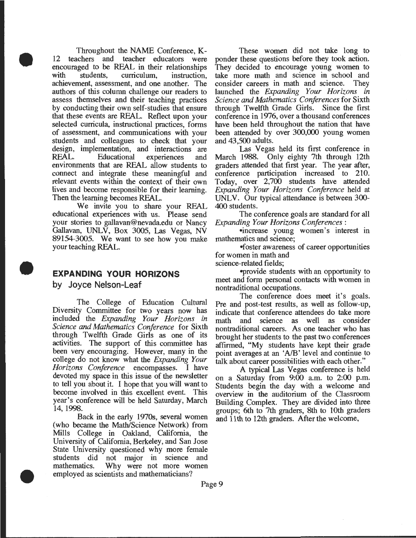Throughout the NAME Conference, K-<br>12 teachers and teacher educators were teacher educators were encouraged to be REAL in their relationships<br>with students, curriculum, instruction, curriculum. achievement, assessment, and one another. The authors of this column challenge our readers to assess themselves and their teaching practices by conducting their own self-studies that ensure that these events are REAL. Reflect upon your selected curricula, instructional practices, forms of assessment, and communications with your students and colleagues to check that your design, implementation, and interactions are<br>REAL. Educational experiences and experiences and environments that are REAL allow students to connect and integrate these meaningful and relevant events within the context of their own lives and become responsible for their learning. Then the learning becomes REAL.

We invite you to share your REAL educational experiences with us. Please send your stories to gallavan@nevada.edu or Nancy Gallavan, UNLV, Box 3005, Las Vegas, NV 89154-3005. We want to see how you make your teaching REAL.

# **EXPANDING YOUR HORIZONS**

by Joyce **Nelson-Leaf** 

•

•

•

The College of Education Cultural Diversity Committee for two years now has included the *Expanding Your Horizons in Science and Mathematics Conference* for Sixth through Twelfth Grade Girls as one of its activities. The support of this committee has been very encouraging. However, many in the college do not know what the *Expanding Your Horizons Conference* encompasses. I have devoted my space in this issue of the newsletter to tell you about it. I hope that you will want to become involved in this excellent event. This year's conference will be held Saturday, March 14, 1998.

Back in the early 1970s, several women (who became the Math/Science Network) from Mills College in Oakland, California, the University of California, Berkeley, and San Jose State University questioned why more female students did not major in science and mathematics. Why were not more women employed as scientists and mathematicians?

These women did not take long to ponder these questions before they took action. They decided to encourage young women to take more math and science in school and consider careers in math and science. They consider careers in math and science. launched the *Expanding Your Horizons in Science and Mathematics Conferences* for Sixth through Twelfth Grade Girls. Since the first conference in 1976, over a thousand conferences have been held throughout the nation that have been attended by over 300,000 young women and 43,500 adults.

Las Vegas held its first conference in March 1988. Only eighty 7th through 12th graders attended that first year. The year after, conference participation increased to 210. Today, over 2,700 students have attended *Expanding Your Horizons Conference* held at UNLV. Our typical attendance is between 300- 400 students.

The conference goals are standard for all *Expanding Your Horizons Conferences:* 

•increase young women's interest in mathematics and science;

•foster awareness of career opportunities for women in math and

science-related fields;

-provide students with an opportunity to meet and form personal contacts with women in nontraditional occupations.

The conference does meet it's goals. Pre and post-test results, as well as follow-up, indicate that conference attendees do take more<br>math and science as well as consider math and science as well as nontraditional careers. As one teacher who has brought her students to the past two conferences affirmed, "My students have kept their grade point averages at an *'AlB'* level and continue to talk about career possibilities with each other."

A typical Las Vegas conference is held on a Saturday from 9:00 a.m. to 2:00 p.m. Students begin the day with a welcome and overview in the auditorium of the Oassroom Building Complex. They are divided into three groups; 6th to 7th graders, 8th to lOth graders and 11th to 12th graders. After the welcome,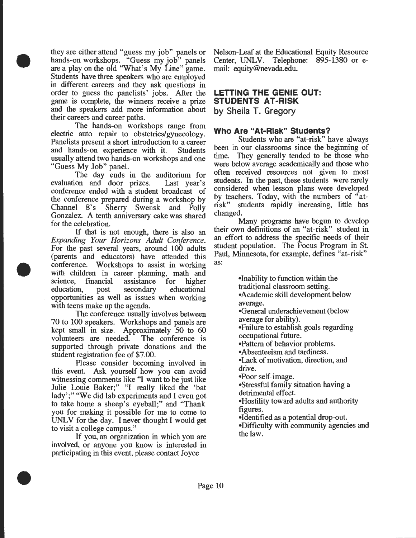they are either attend "guess my job" panels or hands-on workshops. "Guess my job" panels are a play on the old "What's My Line" game. Students have three speakers who are employed m different careers and they ask questions in order to guess the panelists' jobs. After the game is complete, the winners receive a prize and the speakers add more information about their careers and career paths.

•

•

•

. The hands:on workshops range from electric auto repair to obstetrics/gynecology. Panelists present a short introduction to a career and hands-on experience with it. Students usually attend two hands-on workshops and one "Guess My Job" panel.

The day ends in the auditorium for evaluation and door prizes. Last year's conference ended with a student broadcast of the conference prepared during a workshop by Channel 8's Sherry Swensk and Polly Gonzalez. A tenth anniversary cake was shared for the celebration.

If that is not enough, there is also an *Expanding Your Horizons Adult Conference.* For the past several years, around 100 adults (parents and educators) have attended this conference. Workshops to assist in working with children in career planning, math and<br>science, financial assistance for higher science, financial assistance for higher education, post secondary educational opportunities as well as issues when working with teens make up the agenda.

The conference usually involves between 70 to 100 speakers. Workshops and panels are kept small in size. Approximately 50 to 60 volunteers are needed. The conference is supported through private donations and the student registration fee of \$7.00.

. Please consider becoming involved in this event. Ask yourself how you can avoid witnessing comments like "I want to be just like" Julie Louie Baker;" "I really liked the 'bat lady';" "We did lab experiments and I even got to take home a sheep's eyeball;" and "Thank you for making it possible for me to come to UNLV for the day. I never thought I would get to visit a college campus."

. If you, an organization in which you are mvolved, or anyone you know is interested in participating in this event, please contact Joyce

Nelson-Leaf at the Educational Equity Resource Center, UNLV. Telephone: 895-1380 or email: equity@nevada.edu.

## **LETTING THE GENIE OUT: STUDENTS AT -RISK by Sheila T. Gregory**

## **Who Are "At-Risk" Students?**

Students who are "at-risk" have always been in our classrooms since the beginning of time. They generally tended to be those who were below average academically and those who often received resources not given to most students. In the past, these students were rarely considered when lesson plans were developed by teachers. Today, with the numbers of "atrisk" students rapidly increasing, little has changed.

Many programs have begun to develop their own definitions of an "at-risk" student in an effort to address the specific needs of their student population. The Focus Program in St. Paul, Minnesota, for example, defines "at-risk" as:

> •Inability to function within the traditional classroom setting. •Academic skill development below average. •General underachievement (below average for ability). •Failure to establish goals regarding occupational future. •Pattern of behavior problems. •Absenteeism and tardiness.

•Lack of motivation, direction, and drive.

•Poor self-image.

•Stressful family situation having a detrimental effect.

•Hostility toward adults and authority figures.

•Identified as a potential drop-out. •Difficulty with community agencies and the law.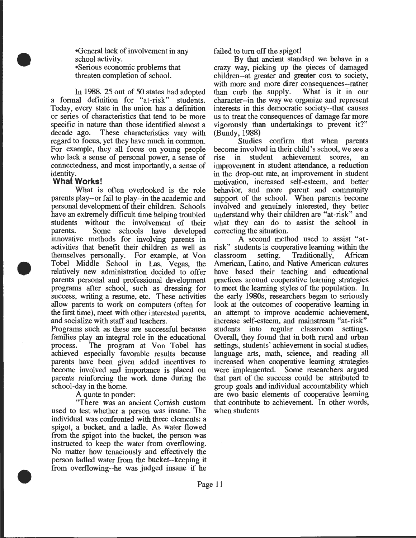•General lack of involvement in any school activity. •Serious economic problems that threaten completion of school.

In 1988, 25 out of 50 states had adopted a formal definition for "at-risk" students. Today, every state in the union has a definition or series of characteristics that tend to be more specific in nature than those identified almost a decade ago. These characteristics vary with regard to focus, yet they have much in common. For example, they all focus on young people who lack a sense of personal power, a sense of connectedness, and most importantly, a sense of identity.

#### **What Works!**

•

•

•

What is often overlooked is the role parents play--or fail to play--in the academic and personal development of their children. Schools have an extremely difficult time helping troubled students without the involvement of their parents. Some schools have developed innovative methods for involving parents in activities that benefit their children as well as themselves personally. For example, at Von Tobel Middle School in Las, Vegas, the relatively new administration decided to offer parents personal and professional development programs after school, such as dressing for success, writing a resume, etc. These activities allow parents to work on computers (often for the first time), meet with other interested parents, and socialize with staff and teachers.

Programs such as these are successful because families play an integral role in the educational process. The program at Von Tobel has achieved especially favorable results because parents have been given added incentives to become involved and importance is placed on parents reinforcing the work done during the school-day in the home.

A quote to ponder:

"There was an ancient Cornish custom used to test whether a person was insane. The individual was confronted with three elements: a spigot, a bucket, and a ladle. As water flowed from the spigot into the bucket, the person was instructed to keep the water from overflowing. No matter how tenaciously and effectively the person ladled water from the bucket--keeping it from overflowing--he was judged insane if he

failed to tum off the spigot!

By that ancient standard we behave in a crazy way, picking up the pieces of damaged children--at greater and greater cost to society, with more and more direr consequences--rather<br>than curb the supply. What is it in our than curb the supply. character--in the way we organize and represent interests in this democratic society--that causes us to treat the consequences of damage far more vigorously than undertakings to prevent it?" (Bundy, 1988)

Studies confirm that when parents become involved in their child's school, we see a<br>rise in student achievement scores, an rise in student achievement scores, improvement in student attendance, a reduction in the drop-out rate, an improvement in student motivation, increased self-esteem, and better behavior, and more parent and community support of the school. When parents become involved and genuinely interested, they better understand why their children are "at-risk" and what they can do to assist the school in correcting the situation.

A second method used to assist "atrisk" students is cooperative learning within the classroom setting. Traditionally, American, Latino, and Native American cultures have based their teaching and educational practices around cooperative learning strategies to meet the learning styles of the population. In the early 1980s, researchers began to seriously look at the outcomes of cooperative learning in an attempt to improve academic achievement, increase self-esteem, and mainstream "at-risk" students into regular classroom settings. Overall, they found that in both rural and urban settings, students' achievement in social studies, language arts, math, science, and reading all increased when cooperative learning strategies were implemented. Some researchers argued that part of the success could be attributed to group goals and individual accountability which are two basic elements of cooperative learning that contribute to achievement. In other words, when students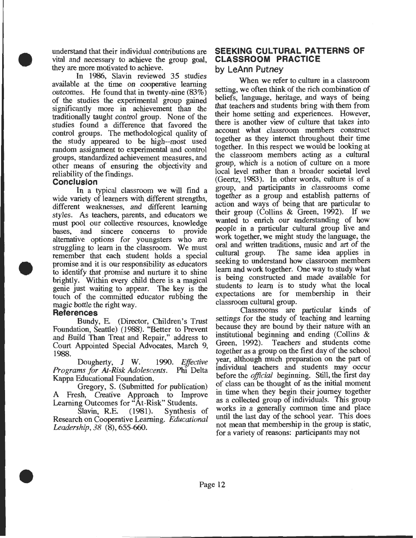understand that their individual contributions are vital and necessary to achieve the group goal, they are more motivated to achieve.

In 1986, Slavin reviewed 35 studies available at the time on cooperative learning outcomes. He found that in twenty-nine (83%) of the studies the experimental group gained significantly more in achievement than the traditionally taught control group. None of the studies found a difference that favored the control groups. The methodological quality of the study appeared to be high--most used random assignment to experimental and control groups, standardized achievement measures, and other means of ensuring the objectivity and reliability of the findings.

#### **Conclusion**

•

•

•

In a typical classroom we will find a wide variety of learners with different strengths, different weaknesses, and different learning styles. As teachers, parents, and educators we must pool our collective resources, knowledge bases, and sincere concerns to provide alternative options for youngsters who are struggling to learn in the classroom. We must remember that each student holds a special promise and it is our responsibility as educators to identify that promise and nurture it to shine brightly. Within every child there is a magical genie just waiting to appear. The key is the touch of the committed educator rubbing the magic bottle the right way.

#### **References**

Bundy, E. (Director, Children's Trust Foundation, Seattle) (1988). "Better to Prevent and Build Than Treat and Repair," address to Court Appointed Special Advocates, March 9  $1988.$   $\blacksquare$ 

Dougherty, J W. 1990. *Effective Programs for At-Risk Adolescents.* Phi Delta Kappa Educational Foundation.

Gregory, S. (Submitted for publication) A Fresh, Creative Approach to Improve Learning Outcomes for "At-Risk" Students.<br>Slavin, R.E. (1981). Synthesis

Synthesis of Research on Cooperative Learning. *Educational Leadership, 38* (8), 655-660.

#### **SEEKING CULTURAL PATTERNS OF CLASSROOM PRACTICE by LeAnn Putney**

When we refer to culture in a classroom setting, we often think of the rich combination of beliefs, language, heritage, and ways of being that teachers and students bring with them from their home setting and experiences. However, there is another view of culture that takes into account what classroom members construct together as they interact throughout their time together. In this respect we would be looking at the classroom members acting as a cultural group, which is a notion of culture on a more local level rather than a broader societal level (Geertz, 1983). In other words, culture is of a group, and participants in classrooms come together as a group and establish patterns of action and ways of being that are particular to their group (Collins & Green, 1992). If we wanted to enrich our understanding of how people in a particular cultural group live and work together, we might study the language, the oral and written traditions, music and art of the cultural group. The same idea applies in seeking to understand how classroom members learn and work together. One way to study what is being constructed and made available for students to learn is to study what the local expectations are for membership in their classroom cultural group.

Classrooms are particular kinds of settings for the study of teaching and learning because they are bound by their nature with an institutional beginning and ending (Collins & Green, 1992). Teachers and students come together as a group on the first day of the school year, although much preparation on the part of individual teachers and students may occur before the *official* beginning. Still, the first day of class can be thought of as the initial moment in time when they begin their journey together as a collected group of individuals. This group works in a generally common time and place until the last day of the school year. This does not mean that membership in the group is static, for a variety of reasons: participants may not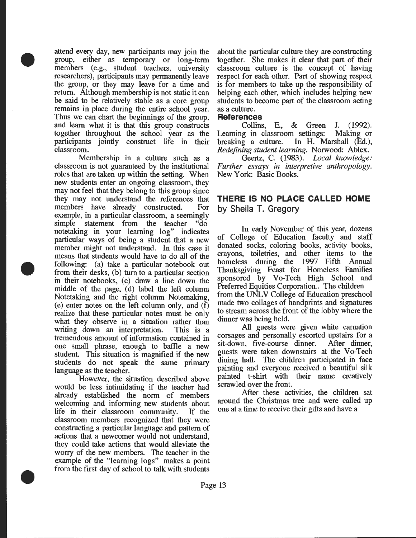attend every day, new participants may join the group, either as temporary or long-term members (e.g., student teachers, university researchers), participants may permanently leave the group, or they may leave for a time and return. Although membership is not static it can be said to be relatively stable as a core group remains in place during the entire school year. Thus we can chart the beginnings of the group, and learn what it is that this group constructs together throughout the school year as the participants jointly construct life in their classroom.

•

•

•

Membership in a culture such as a classroom is not guaranteed by the institutional roles that are taken up within the setting. When new students enter an ongoing classroom, they may not feel that they belong to this group since they may not understand the references that members have already constructed. For example, in a particular classroom, a seemingly simple statement from the teacher "do notetaking in your learning log" indicates particular ways of being a student that a new member might not understand. In this case it means that students would have to do all of the following: (a) take a particular notebook out from their desks, (b) tum to a particular section in their notebooks, (c) draw a line down the middle of the page, (d) label the left column Notetaking and the right column Notemaking, (e) enter notes on the left column only, and (f) realize that these particular notes must be only what they observe in a situation rather than writing down an interpretation. This is a tremendous amount of information contained in one small phrase, enough to baffle a new student. This situation is magnified if the new students do not speak the same primary language as the teacher.

However, the situation described above would be less intimidating if the teacher had already established the norm of members welcoming and informing new students about life in their classroom community. If the classroom members recognized that they were constructing a particular language and pattern of actions that a newcomer would not understand, they could take actions that would alleviate the worry of the new members. The teacher in the example of the "learning logs" makes a point from the first day of school to talk with students

about the particular culture they are constructing together. She makes it clear that part of their classroom culture is the concept of having respect for each other. Part of showing respect is for members to take up the responsibility of helping each other, which includes helping new students to become part of the classroom acting as a culture.

#### **References**

Collins, E., & Green J. (1992). Learning in classroom settings: Making or breaking a culture. In H. Marshall (Ed.), *Redefining student learning.* Norwood: Ablex.

Geertz, C. (1983). *Local knowledge: Further essays in interpretive anthropology.*  New York: Basic Books.

# **THERE IS NO PLACE CALLED HOME by Sheila T. Gregory**

In early November of this year, dozens of College of Education faculty and staff donated socks, coloring books, activity books, crayons, toiletries, and other items to the homeless during the 1997 Fifth Annual Thanksgiving Feast for Homeless Families sponsored by Vo-Tech High School and Preferred Equities Corporation.. The children from the UNLV College of Education preschool made two collages of handprints and signatures to stream across the front of the lobby where the dinner was being held.

All guests were given white carnation corsages and personally escorted upstairs for a sit-down, five-course dinner. After dinner, guests were taken downstairs at the Vo-Tech dining hall. The children participated in face painting and everyone received a beautiful silk painted t-shirt with their name creatively scrawled over the front

After these activities, the children sat around the Christmas tree and were called up one at a time to receive their gifts and have a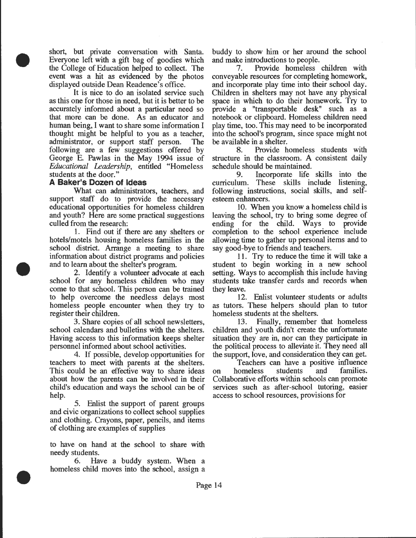short, but private conversation with Santa. Everyone left with a gift bag of goodies which the College of Education helped to collect. The event was a hit as evidenced by the photos displayed outside Dean Readence's office.

It is nice to do an isolated service such as this one for those in need, but it is better to be accurately informed about a particular need so that more can be done. As an educator and human being, I want to share some information I thought might be helpful to you as a teacher, administrator, or support staff person. The following are a few suggestions offered by George E. Pawlas in the May 1994 issue of *Educational Leadership,* entitled "Homeless students at the door."

#### **A Baker's Dozen of Ideas**

•

•

•

What can administrators, teachers, and support staff do to provide the necessary educational opportunities for homeless children and youth? Here are some practical suggestions culled from the research:

1. Find out if there are any shelters or hotels/motels housing homeless families in the school district. Arrange a meeting to share information about district programs and policies and to learn about the shelter's program.

2. Identify a volunteer advocate at each school for any homeless children who may come to that school. This person can be trained to help overcome the needless delays most homeless people encounter when they try to register their children.

3. Share copies of all school newsletters, school calendars and bulletins with the shelters. Having access to this information keeps shelter personnel informed about school activities.

4. If possible, develop opportunities for teachers to meet with parents at the shelters. This could be an effective way to share ideas about how the parents can be involved in their child's education and ways the school can be of help.

5. Enlist the support of parent groups and civic organizations to collect school supplies and clothing. Crayons, paper, pencils, and items of clothing are examples of supplies

to have on hand at the school to share with needy students.

6. Have a buddy system. When a homeless child moves into the school, assign a

buddy to show him or her around the school and make introductions to people.

7. Provide homeless children with conveyable resources for completing homework, and incorporate play time into their school day. Children in shelters may not have any physical space in which to do their homework. Try to provide a "transportable desk" such as a notebook or clipboard. Homeless children need play time, too. This may need to be incorporated into the school's program, since space might not be available in a shelter.

8. Provide homeless students with structure in the classroom. A consistent daily schedule should be maintained.

9. Incorporate life skills into the curriculum. These skills include listening, following instructions, social skills, and selfesteem enhancers.

10. When you know a homeless child is leaving the school, try to bring some degree of ending for the child. Ways to provide completion to the school experience include allowing time to gather up personal items and to say good-bye to friends and teachers.

11. Try to reduce the time it will take a student to begin working in a new school setting. Ways to accomplish this include having students take transfer cards and records when they leave.

12. Enlist volunteer students or adults as tutors. These helpers should plan to tutor homeless students at the shelters.

13. Finally, remember that homeless children and youth didn't create the unfortunate situation they are in, nor can they participate in the political process to alleviate it. They need all the support, love, and consideration they can get.

Teachers can have a positive influence<br>omeless students and families. on homeless students and Collaborative efforts within schools can promote services such as after-school tutoring, easier access to school resources, provisions for